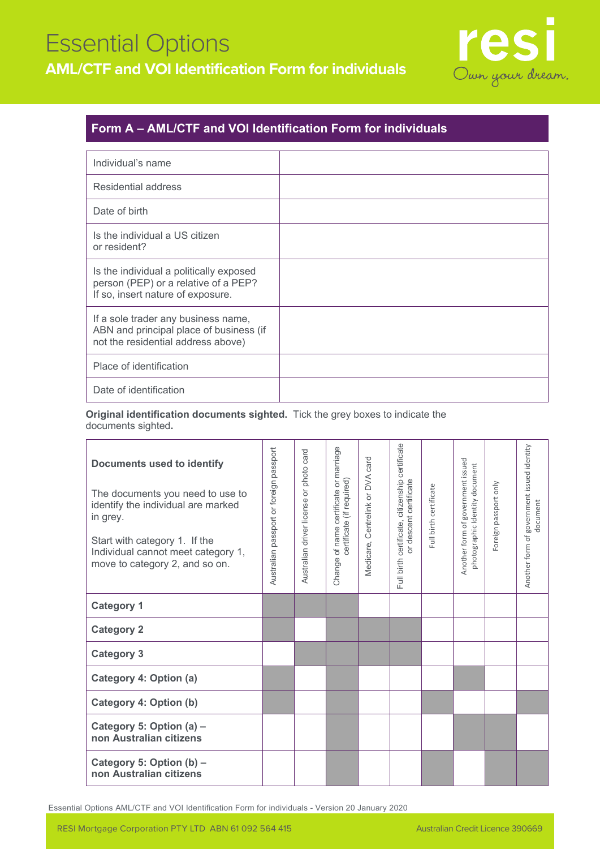## Essential Options **AML/CTF and VOI Identification Form for individuals**



### **Form A – AML/CTF and VOI Identification Form for individuals**

| Individual's name                                                                                                    |  |
|----------------------------------------------------------------------------------------------------------------------|--|
| Residential address                                                                                                  |  |
| Date of birth                                                                                                        |  |
| Is the individual a US citizen<br>or resident?                                                                       |  |
| Is the individual a politically exposed<br>person (PEP) or a relative of a PEP?<br>If so, insert nature of exposure. |  |
| If a sole trader any business name,<br>ABN and principal place of business (if<br>not the residential address above) |  |
| Place of identification                                                                                              |  |
| Date of identification                                                                                               |  |

**Original identification documents sighted.** Tick the grey boxes to indicate the documents sighted**.** 

| <b>Documents used to identify</b><br>The documents you need to use to<br>identify the individual are marked<br>in grey.<br>Start with category 1. If the<br>Individual cannot meet category 1,<br>move to category 2, and so on. | Australian passport or foreign passport | or photo card<br>Australian driver license | of name certificate or marriage<br>certificate (if required)<br>Change | card<br>Centrelink or DVA<br>Medicare, | certificate<br>citizenship<br>or descent certificate<br>certificate,<br>Full birth | Full birth certificate | Another form of government issued<br>photographic Identity document | Foreign passport only | Another form of government issued identity<br>document |
|----------------------------------------------------------------------------------------------------------------------------------------------------------------------------------------------------------------------------------|-----------------------------------------|--------------------------------------------|------------------------------------------------------------------------|----------------------------------------|------------------------------------------------------------------------------------|------------------------|---------------------------------------------------------------------|-----------------------|--------------------------------------------------------|
| <b>Category 1</b>                                                                                                                                                                                                                |                                         |                                            |                                                                        |                                        |                                                                                    |                        |                                                                     |                       |                                                        |
| <b>Category 2</b>                                                                                                                                                                                                                |                                         |                                            |                                                                        |                                        |                                                                                    |                        |                                                                     |                       |                                                        |
| <b>Category 3</b>                                                                                                                                                                                                                |                                         |                                            |                                                                        |                                        |                                                                                    |                        |                                                                     |                       |                                                        |
| Category 4: Option (a)                                                                                                                                                                                                           |                                         |                                            |                                                                        |                                        |                                                                                    |                        |                                                                     |                       |                                                        |
| Category 4: Option (b)                                                                                                                                                                                                           |                                         |                                            |                                                                        |                                        |                                                                                    |                        |                                                                     |                       |                                                        |
| Category 5: Option (a) -<br>non Australian citizens                                                                                                                                                                              |                                         |                                            |                                                                        |                                        |                                                                                    |                        |                                                                     |                       |                                                        |
| Category 5: Option (b) -<br>non Australian citizens                                                                                                                                                                              |                                         |                                            |                                                                        |                                        |                                                                                    |                        |                                                                     |                       |                                                        |

Essential Options AML/CTF and VOI Identification Form for individuals - Version 20 January 2020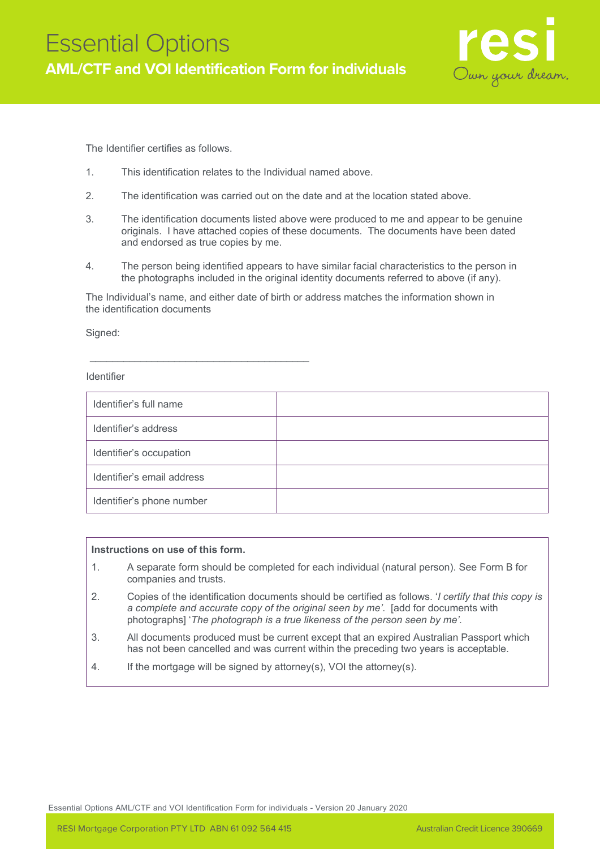

The Identifier certifies as follows.

1. This identification relates to the Individual named above.

\_\_\_\_\_\_\_\_\_\_\_\_\_\_\_\_\_\_\_\_\_\_\_\_\_\_\_\_\_\_\_\_\_\_\_\_\_\_\_

- 2. The identification was carried out on the date and at the location stated above.
- 3. The identification documents listed above were produced to me and appear to be genuine originals. I have attached copies of these documents. The documents have been dated and endorsed as true copies by me.
- 4. The person being identified appears to have similar facial characteristics to the person in the photographs included in the original identity documents referred to above (if any).

The Individual's name, and either date of birth or address matches the information shown in the identification documents

Signed:

#### Identifier

| Identifier's full name     |  |
|----------------------------|--|
| Identifier's address       |  |
| Identifier's occupation    |  |
| Identifier's email address |  |
| Identifier's phone number  |  |

#### **Instructions on use of this form.**

- 1. A separate form should be completed for each individual (natural person). See Form B for companies and trusts.
- 2. Copies of the identification documents should be certified as follows. '*I certify that this copy is a complete and accurate copy of the original seen by me'*. [add for documents with photographs] '*The photograph is a true likeness of the person seen by me'.*
- 3. All documents produced must be current except that an expired Australian Passport which has not been cancelled and was current within the preceding two years is acceptable.
- 4. If the mortgage will be signed by attorney(s), VOI the attorney(s).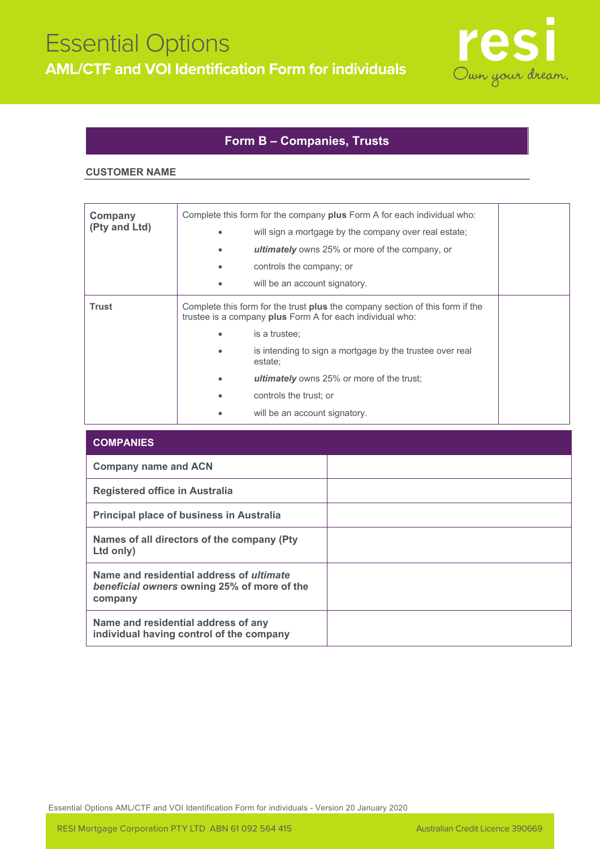

### **Form B – Companies, Trusts**

#### **CUSTOMER NAME**

| Company<br>(Pty and Ltd) |                                                                                                                                                   | Complete this form for the company <b>plus</b> Form A for each individual who:<br>will sign a mortgage by the company over real estate;<br><b>ultimately</b> owns 25% or more of the company, or<br>controls the company; or |  |
|--------------------------|---------------------------------------------------------------------------------------------------------------------------------------------------|------------------------------------------------------------------------------------------------------------------------------------------------------------------------------------------------------------------------------|--|
|                          |                                                                                                                                                   | will be an account signatory.                                                                                                                                                                                                |  |
| Trust                    | Complete this form for the trust <b>plus</b> the company section of this form if the<br>trustee is a company plus Form A for each individual who: |                                                                                                                                                                                                                              |  |
|                          |                                                                                                                                                   | is a trustee;                                                                                                                                                                                                                |  |
|                          |                                                                                                                                                   | is intending to sign a mortgage by the trustee over real<br>estate;                                                                                                                                                          |  |
|                          |                                                                                                                                                   | <b>ultimately</b> owns 25% or more of the trust;                                                                                                                                                                             |  |
|                          |                                                                                                                                                   | controls the trust; or                                                                                                                                                                                                       |  |
|                          |                                                                                                                                                   | will be an account signatory.                                                                                                                                                                                                |  |

| <b>COMPANIES</b>                                                                                          |  |
|-----------------------------------------------------------------------------------------------------------|--|
| <b>Company name and ACN</b>                                                                               |  |
| Registered office in Australia                                                                            |  |
| <b>Principal place of business in Australia</b>                                                           |  |
| Names of all directors of the company (Pty)<br>Ltd only)                                                  |  |
| Name and residential address of <i>ultimate</i><br>beneficial owners owning 25% of more of the<br>company |  |
| Name and residential address of any<br>individual having control of the company                           |  |